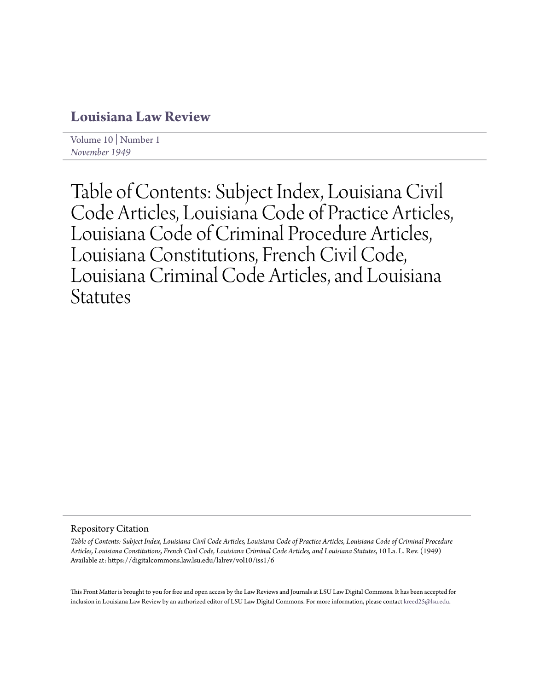# **[Louisiana Law Review](https://digitalcommons.law.lsu.edu/lalrev)**

[Volume 10](https://digitalcommons.law.lsu.edu/lalrev/vol10) | [Number 1](https://digitalcommons.law.lsu.edu/lalrev/vol10/iss1) *[November 1949](https://digitalcommons.law.lsu.edu/lalrev/vol10/iss1)*

Table of Contents: Subject Index, Louisiana Civil Code Articles, Louisiana Code of Practice Articles, Louisiana Code of Criminal Procedure Articles, Louisiana Constitutions, French Civil Code, Louisiana Criminal Code Articles, and Louisiana **Statutes** 

Repository Citation

*Table of Contents: Subject Index, Louisiana Civil Code Articles, Louisiana Code of Practice Articles, Louisiana Code of Criminal Procedure Articles, Louisiana Constitutions, French Civil Code, Louisiana Criminal Code Articles, and Louisiana Statutes*, 10 La. L. Rev. (1949) Available at: https://digitalcommons.law.lsu.edu/lalrev/vol10/iss1/6

This Front Matter is brought to you for free and open access by the Law Reviews and Journals at LSU Law Digital Commons. It has been accepted for inclusion in Louisiana Law Review by an authorized editor of LSU Law Digital Commons. For more information, please contact [kreed25@lsu.edu](mailto:kreed25@lsu.edu).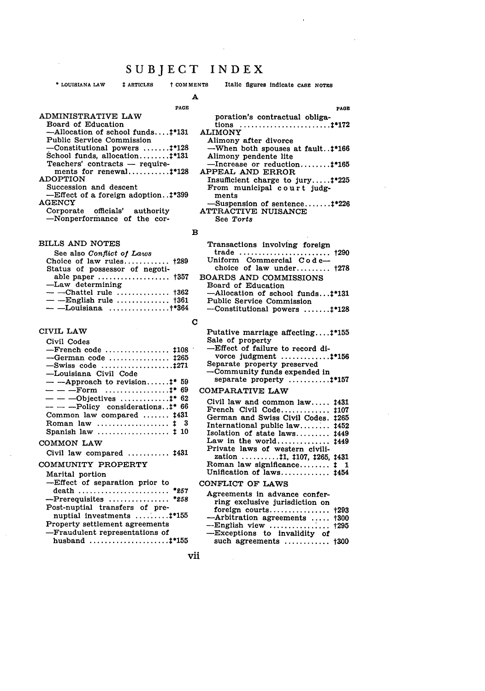**\* LOUISIANA LAW ARTICLES** t **COMMENTS** Italic figures indicate **CASE NOTES**

# **A**

## **PAGE**

#### ADMINISTRATIVE LAW Board of Education  $-$ Allocation of school funds.... $\ddagger$ \*131 Public Service Commission -Constitutional powers ....... **.\*128** School funds, allocation **........** t\*131  $Teaches' contracts - require$ ments for renewal ........... **\*\*128** ADOPTION Succession and descent **-Effect** of a foreign adoption. **.\$\*399 AGENCY** Corporate officials' authority

-Nonperformance of the cor-

#### BILLS **AND NOTES**

| See also Conflict of Laws       |  |
|---------------------------------|--|
| Choice of law rules $+289$      |  |
| Status of possessor of negoti-  |  |
| able paper $+357$               |  |
| -Law determining                |  |
|                                 |  |
| — — English rule $\uparrow$ 361 |  |
| $-$ -Louisiana +*364            |  |
|                                 |  |

#### CIVIL LAW

| Civil Codes                                                      |
|------------------------------------------------------------------|
| $-F$ rench code $\text{108}$                                     |
| $\sim$ German code $1265$                                        |
|                                                                  |
| -Louisiana Civil Code                                            |
| $-$ --Approach to revision:* 59                                  |
| $- - -$ Form  #* 69                                              |
| $-$ - -Objectives <sup>*</sup> 62                                |
| $---$ --- $\rightarrow$ Dolicy considerations. . $\ddagger$ * 66 |
| Common law compared  1431                                        |
| Roman law  1 3                                                   |
| Spanish law $\ldots \ldots \ldots \ldots \ldots \vdots 10$       |
| COMMON LAW                                                       |
| Civil law compared $\ldots$ , $1431$                             |

## **COMMUNITY** PROPERTY

| Marital portion<br>-Effect of separation prior to     |
|-------------------------------------------------------|
| death  *257                                           |
| $-$ Prerequisites  *258                               |
| Post-nuptial transfers of pre-                        |
| nuptial investments $\dots\dots\dots$ $\ddagger$ *155 |
| Property settlement agreements                        |
| -Fraudulent representations of                        |
|                                                       |

|                                | PAGE |
|--------------------------------|------|
| poration's contractual obliga- |      |
|                                |      |

- ALIMONY Alimony after divorce
	- -When both spouses at fault..:\*166 Alimony pendente lite
- -Increase or reduction **........** tp165 **APPEAL AND** ERROR
	- Insufficient charge to jury **..... t\*225** From municipal c **our** t **judg**ments
- -Suspension of sentence **.......** t\*226 ATTRACTIVE **NUISANCE** See *Torts*

#### $\mathbf B$

| Transactions involving foreign     |  |
|------------------------------------|--|
| trade  †290                        |  |
| Uniform Commercial Code-           |  |
| choice of law under $\uparrow$ 278 |  |
| BOARDS AND COMMISSIONS             |  |
| Board of Education                 |  |
| -Allocation of school funds:*131   |  |
| Public Service Commission          |  |

Public Service Commission -Constitutional powers ....... **.\*128**

### $\mathbf C$

Putative marriage affecting.... $\ddagger$ \*155 Sale of property -Effect of failure to record divorce judgment ............. '156 Separate property preserved -Community funds expended in

separate property ........... **\*157**

## COMPARATIVE LAW

| Civil law and common law 1431                      |  |
|----------------------------------------------------|--|
| French Civil Code 1107                             |  |
| German and Swiss Civil Codes. 1265                 |  |
| International public law 1452                      |  |
| Isolation of state laws 1449                       |  |
| Law in the world $1449$                            |  |
| Private laws of western civili-                    |  |
| zation $\ldots \ldots \ldots 11, 1107, 1265, 1431$ |  |
| Roman law significance $\ddagger$ 1                |  |
| Unification of laws #454                           |  |

#### CONFLICT **OF** LAWS

| Agreements in advance confer-  |  |
|--------------------------------|--|
| ring exclusive jurisdiction on |  |
| foreign courts $+293$          |  |
| -Arbitration agreements  1300  |  |
| $-$ English view  †295         |  |
| -Exceptions to invalidity of   |  |
| such agreements  †300          |  |

vii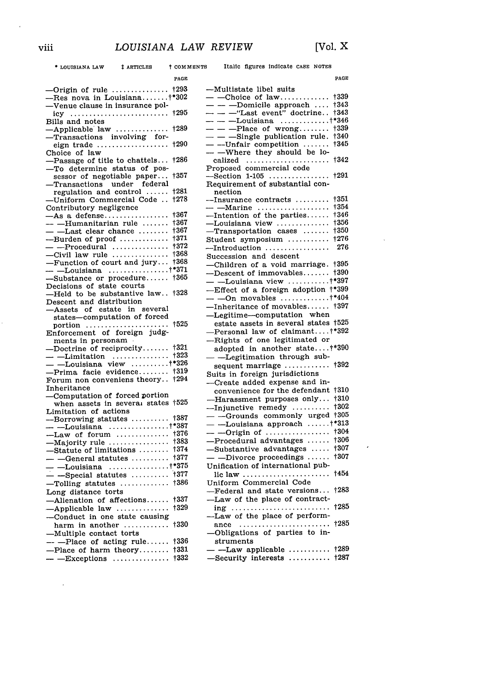**- LOUISIANA** LAW t ARTICLES t **COMMENTS** Italic figures indicate **CASE** NOTES

 $\ddot{\phantom{a}}$ 

 $\hat{\mathcal{L}}$ 

|                                                               | PAGE |
|---------------------------------------------------------------|------|
|                                                               |      |
|                                                               |      |
| -Venue clause in insurance pol-                               |      |
| $icy \dots \dots \dots \dots \dots \dots \dots \dots \dots$   | †295 |
| Bills and notes                                               |      |
| -Applicable law                                               | +289 |
|                                                               |      |
|                                                               | †290 |
| Choice of law                                                 |      |
| -Passage of title to chattels                                 | †286 |
| -To determine status of pos-                                  |      |
| sessor of negotiable paper                                    | +357 |
| -Transactions under federal<br>regulation and control         | †281 |
| -Uniform Commercial Code                                      | †278 |
| Contributory negligence                                       |      |
|                                                               | †367 |
|                                                               | †367 |
|                                                               | †367 |
| ---Burden of proof                                            | +371 |
|                                                               |      |
|                                                               |      |
|                                                               |      |
|                                                               |      |
|                                                               |      |
| Decisions of state courts<br>—Held to be substantive law †328 |      |
|                                                               |      |
| Descent and distribution                                      |      |
| -Assets of estate in several<br>states-computation of forced  |      |
|                                                               | 1525 |
| portion<br>Enforcement of foreign judg-                       |      |
| ments in personam<br>$\sim$                                   |      |
| -Doctrine of reciprocity                                      | +321 |
|                                                               |      |
| $-$ Limitation $$ $1323$<br>$-$ Louisiana view $$ $1*326$     |      |
| $-$ Prima facie evidence $\frac{1319}{201}$                   |      |
| Forum non conveniens theory                                   | +294 |
| Inheritance                                                   |      |
| -Computation of forced portion                                | +525 |
| when assets in several states<br>Limitation of actions        |      |
|                                                               |      |
| --Borrowing statutes  †387<br>--- --Louisiana †*387           |      |
| $-Law$ of forum                                               | †376 |
| -Majority rule                                                | †383 |
| $-$ Statute of limitations $\ldots \ldots$                    | 1374 |
|                                                               |      |
|                                                               |      |
|                                                               |      |
|                                                               |      |
| Long distance torts                                           |      |
| $-Mienation$ of affections                                    | †337 |
| -Applicable law                                               | †329 |
| -Conduct in one state causing                                 |      |
| harm in another $\dots\dots\dots$                             | †330 |
| -Multiple contact torts                                       |      |
| $-$ -Place of acting rule                                     | †336 |
| $-$ Place of harm theory                                      | †331 |
| $-$ Exceptions                                                | +332 |

 $\sim$  .

| PAGE                                                                   |
|------------------------------------------------------------------------|
| --Multistate libel suits                                               |
| $-$ -Choice of law<br>+339                                             |
|                                                                        |
|                                                                        |
|                                                                        |
|                                                                        |
|                                                                        |
|                                                                        |
| †342                                                                   |
|                                                                        |
| Proposed commercial code<br>-Section 1-105<br>+291                     |
| Requirement of substantial con-                                        |
| nection                                                                |
| +351<br>--Insurance contracts<br>+354                                  |
| †346                                                                   |
| +356                                                                   |
| †350                                                                   |
| †276<br>Student symposium                                              |
| 276<br>$\longrightarrow$ Introduction                                  |
| Succession and descent                                                 |
| -Children of a void marriage. †395                                     |
| $-$ Descent of immovables $\uparrow$ 390                               |
|                                                                        |
|                                                                        |
|                                                                        |
| --Inheritance of movables $\uparrow$ 397                               |
| -Legitime-computation when                                             |
| estate assets in several states †525<br>-Personal law of claimant†*392 |
|                                                                        |
| -Rights of one legitimated or                                          |
| adopted in another state +*390<br>- -Legitimation through sub-         |
| sequent marriage  †392                                                 |
| Suits in foreign jurisdictions                                         |
| -Create added expense and in-                                          |
| 1310                                                                   |
| convenience for the defendant<br>--Harassment purposes only<br>†310    |
| $\overline{-}$ Injunctive remedy<br>+302                               |
| $ -$ Grounds commonly urged<br>+305                                    |
| — $-$ Louisiana approach $+$ *313                                      |
| $\qquad$ ---Origin of<br>†304                                          |
| +306                                                                   |
| +307                                                                   |
| +307<br>$-$ -Divorce proceedings                                       |
| Unification of international pub-                                      |
| †454                                                                   |
| Uniform Commercial Code                                                |
| -Federal and state versions<br>+283                                    |
| -Law of the place of contract-<br>†285                                 |
| ing<br>-Law of the place of perform-                                   |
| +285<br>ance                                                           |
| -Obligations of parties to in-                                         |
| struments                                                              |
| $-$ -Law applicable  †289                                              |
| Security interests  †287                                               |
|                                                                        |

 $\ddot{\phantom{0}}$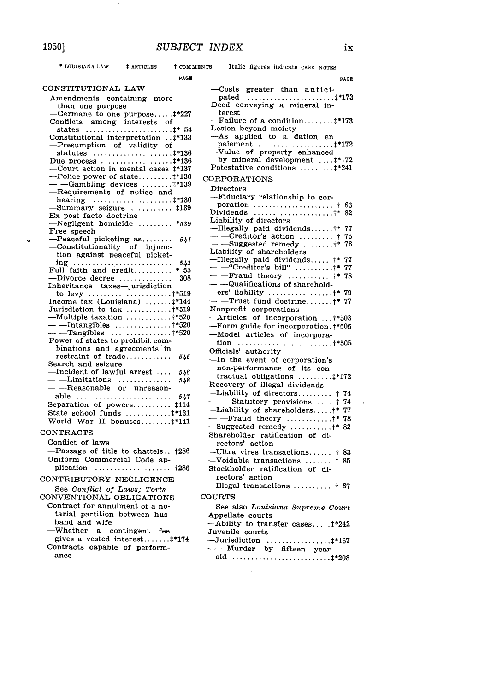$\sim$ 

 $\bar{z}$ 

 $\bullet$ 

 $\ast$  LOUISIANA LAW

 $\bar{z}$ 

| * LOUISIANA LAW                                                                                                                                    | # ARTICLES     | <b>t COMMENTS</b> | Italic figures indicate CASE NOTES                                                                      |
|----------------------------------------------------------------------------------------------------------------------------------------------------|----------------|-------------------|---------------------------------------------------------------------------------------------------------|
|                                                                                                                                                    |                | PAGE              | PAGE                                                                                                    |
| CONSTITUTIONAL LAW                                                                                                                                 |                |                   | -Costs greater than antici-                                                                             |
| Amendments containing more<br>than one purpose<br>$-$ Germane to one purpose $\ddagger$ *227                                                       |                |                   | Deed conveying a mineral in-<br>terest                                                                  |
| Conflicts among interests of<br>states ‡* 54                                                                                                       |                |                   | $-F \text{a}$ lure of a condition $\ddagger$ *173<br>Lesion beyond moiety<br>-As applied to a dation en |
| <sup>1*133</sup> Constitutional interpretation<br>-Presumption of validity of<br>statutes $\ldots \ldots \ldots \ldots \ldots \ldots \ldots 1*136$ |                |                   | -Value of property enhanced                                                                             |
| Due process $\ldots \ldots \ldots \ldots \ldots \ldots 1*136$<br>—Court action in mental cases ‡*137                                               |                |                   | by mineral development  #*172<br>Potestative conditions  #*241                                          |
| $-$ Police power of state‡*136<br>$-$ -Gambling devices $\ddagger$ *139                                                                            |                |                   | CORPORATIONS                                                                                            |
| -Requirements of notice and                                                                                                                        |                |                   | $_{\rm Directors}$                                                                                      |
|                                                                                                                                                    |                |                   | -Fiduciary relationship to cor-<br>poration $\ldots \ldots \ldots \ldots \ldots \ldots$ † 86            |
| -Summary seizure  #139                                                                                                                             |                |                   | Dividends $\uparrow$ * 82                                                                               |
| Ex post facto doctrine<br>$-$ Negligent homicide  *539                                                                                             |                |                   | Liability of directors                                                                                  |
| Free speech                                                                                                                                        |                |                   | -Illegally paid dividends†* 77                                                                          |
| $-$ Peaceful picketing as                                                                                                                          |                | 541               | $\sim$ -Creditor's action  † 75                                                                         |
| -Constitutionality of injunc-                                                                                                                      |                |                   | $-$ -Suggested remedy $\ddagger$ * 76<br>Liability of shareholders                                      |
| tion against peaceful picket-                                                                                                                      |                |                   | -Illegally paid dividends †* 77                                                                         |
| Full faith and credit $* 55$                                                                                                                       |                | 541               | — — "Creditor's bill" †* 77                                                                             |
| $-$ Divorce decree                                                                                                                                 |                | 308               | $-$ -Fraud theory ;* 78                                                                                 |
| Inheritance taxes-jurisdiction                                                                                                                     |                |                   | — —Qualifications of sharehold-                                                                         |
|                                                                                                                                                    |                |                   | ers' liability †* 79                                                                                    |
| Income tax $(Louisiana)$ $\ddagger$ *144                                                                                                           |                |                   | $-$ -Trust fund doctrine †* 77                                                                          |
| Jurisdiction to $\text{tax}$ †*519<br>—Multiple taxation  †*520                                                                                    |                |                   | Nonprofit corporations                                                                                  |
| — — Intangibles †*520                                                                                                                              |                |                   | -Articles of incorporation+*503                                                                         |
| $-$ -Tangibles **520                                                                                                                               |                |                   | -Form guide for incorporation.†*505<br>-Model articles of incorpora-                                    |
| Power of states to prohibit com-                                                                                                                   |                |                   |                                                                                                         |
| binations and agreements in                                                                                                                        |                |                   | Officials' authority                                                                                    |
| restraint of trade<br>Search and seizure                                                                                                           |                | 545               | -In the event of corporation's                                                                          |
| $\qquad$ -Incident of lawful arrest                                                                                                                |                | 546               | non-performance of its con-                                                                             |
| $-$ --Limitations                                                                                                                                  |                | 548               | tractual obligations $\dots\dots\dots$                                                                  |
| -- -- Reasonable or unreason-                                                                                                                      |                |                   | Recovery of illegal dividends                                                                           |
| able                                                                                                                                               |                | 547               | -Liability of directors † 74                                                                            |
| Separation of powers #114                                                                                                                          |                |                   | - Statutory provisions  † 74                                                                            |
| State school funds  #*131                                                                                                                          |                |                   | -Liability of shareholders †* 77<br>- -Fraud theory †* 78                                               |
| World War II bonuses**141                                                                                                                          |                |                   | $-$ Suggested remedy <sup>†*</sup> 82                                                                   |
| <b>CONTRACTS</b>                                                                                                                                   |                |                   | Shareholder ratification of di-                                                                         |
| Conflict of laws                                                                                                                                   |                |                   | rectors' action                                                                                         |
| -Passage of title to chattels †286                                                                                                                 |                |                   | -Ultra vires transactions † 83                                                                          |
| Uniform Commercial Code ap-                                                                                                                        |                |                   | $-$ Voidable transactions $\uparrow$ 85                                                                 |
|                                                                                                                                                    |                |                   | Stockholder ratification of di-                                                                         |
| CONTRIBUTORY NEGLIGENCE                                                                                                                            |                |                   | rectors' action                                                                                         |
| See Conflict of Laws; Torts<br>CONVENTIONAL OBLIGATIONS                                                                                            |                |                   | ---Illegal transactions  † 87<br>COURTS                                                                 |
| Contract for annulment of a no-<br>tarial partition between hus-                                                                                   |                |                   | See also Louisiana Supreme Court<br>Appellate courts                                                    |
| band and wife                                                                                                                                      |                |                   | -Ability to transfer cases #*242                                                                        |
| $-\mathrm{Whether}$<br>$\mathbf{a}$<br>gives a vested interest #*174                                                                               | contingent fee |                   | Juvenile courts                                                                                         |
| Contracts capable of perform-<br>ance                                                                                                              |                |                   | $\sim$ ---Murder by fifteen year                                                                        |
|                                                                                                                                                    |                |                   |                                                                                                         |

 $i\mathbf{x}$ 

 $\mathcal{L}$ 

 $\ddot{\phantom{1}}$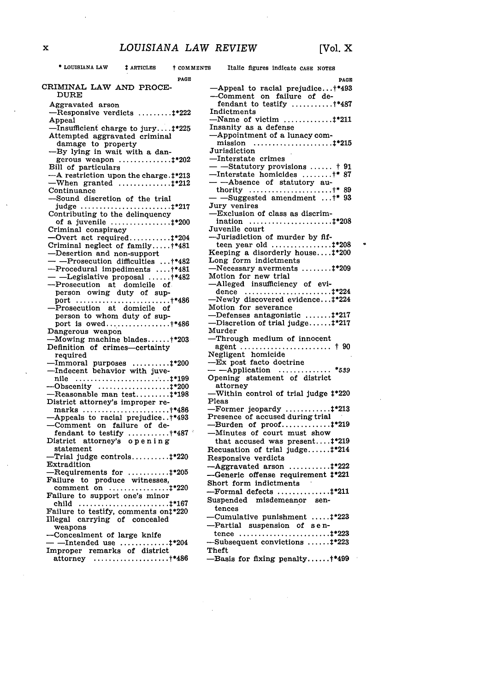$\ddot{\phantom{0}}$ 

| * LOUISIANA LAW                                                                                           | # ARTICLES | † COMMENTS | Italic figures indicate CASE NOTES                                                                                           |
|-----------------------------------------------------------------------------------------------------------|------------|------------|------------------------------------------------------------------------------------------------------------------------------|
|                                                                                                           |            | PAGE       | PAGE                                                                                                                         |
| CRIMINAL LAW AND PROCE-<br>DURE                                                                           |            |            | $\text{-}$ Appeal to racial prejudice†*493<br>--Comment on failure of de-<br>fendant to testify $\ldots \ldots \ldots$ +*487 |
| Aggravated arson<br>-Responsive verdicts ‡*222                                                            |            |            | Indictments                                                                                                                  |
| Appeal<br>-Insufficient charge to jury‡*225                                                               |            |            | $-$ Name of victim ‡*211<br>Insanity as a defense                                                                            |
| Attempted aggravated criminal                                                                             |            |            | -Appointment of a lunacy com-                                                                                                |
| damage to property<br>-By lying in wait with a dan-                                                       |            |            | Jurisdiction                                                                                                                 |
| gerous weapon ‡*202                                                                                       |            |            | $-$ Interstate crimes                                                                                                        |
| Bill of particulars<br>-A restriction upon the charge. <sup>1*213</sup>                                   |            |            | - -Statutory provisions  † 91<br>--Interstate homicides +* 87                                                                |
| $-When$ granted ‡*212<br>Continuance                                                                      |            |            | ----Absence of statutory au-<br>thority $\dots\dots\dots\dots\dots\dots\dots\dots\dots\dots$                                 |
| -Sound discretion of the trial                                                                            |            |            | - -Suggested amendment †* 93                                                                                                 |
| Contributing to the delinquency                                                                           |            |            | Jury venires<br>-Exclusion of class as discrim-                                                                              |
| of a juvenile $\ldots \ldots \ldots \ldots \ldots 1*200$                                                  |            |            | ination ‡*208                                                                                                                |
| Criminal conspiracy<br>$-$ Overt act required $\ddagger$ *204                                             |            |            | Juvenile court<br>-Jurisdiction of murder by fif-                                                                            |
| Criminal neglect of family †*481                                                                          |            |            | Keeping a disorderly house#*200                                                                                              |
| -Desertion and non-support<br>- --Prosecution difficulties †*482                                          |            |            | Long form indictments                                                                                                        |
| --Procedural impediments  +*481                                                                           |            |            | $-Necessary \ averments \ \ldots \ldots \ . \$<br>Motion for new trial                                                       |
| - -Legislative proposal +*482<br>-Prosecution at domicile of                                              |            |            | -Alleged insufficiency of evi-                                                                                               |
| person owing duty of sup-                                                                                 |            |            | -Newly discovered evidence‡*224                                                                                              |
| -Prosecution at domicile of                                                                               |            |            | Motion for severance                                                                                                         |
| person to whom duty of sup-                                                                               |            |            | Defenses antagonistic ‡*217<br>$-Discretion$ of trial judge $\ddagger$ *217                                                  |
| Dangerous weapon                                                                                          |            |            | Murder                                                                                                                       |
| $-Mowing$ machine blades†*203<br>Definition of crimes-certainty                                           |            |            | —Through medium of innocent<br>agent  † 90                                                                                   |
| required                                                                                                  |            |            | Negligent homicide<br>-Ex post facto doctrine                                                                                |
| $-{\rm Immoral}$ purposes $\ddagger$ *200<br>-Indecent behavior with juve-                                |            |            | $-$ -Application<br>*539                                                                                                     |
|                                                                                                           |            |            | Opening statement of district<br>attorney                                                                                    |
| $-$ Reasonable man test $\ddagger$ *198                                                                   |            |            | -Within control of trial judge #*220                                                                                         |
| District attorney's improper re-<br>marks $\ldots \ldots \ldots \ldots \ldots \ldots \ldots \ldots$ +*486 |            |            | Pleas<br>$-Former$ jeopardy ‡*213                                                                                            |
| -Appeals to racial prejudice:*493                                                                         |            |            | Presence of accused during trial                                                                                             |
| -Comment on failure of de-<br>fendant to testify $+487$                                                   |            |            | Burden of $proof$ $+219$<br>-Minutes of court must show                                                                      |
| District attorney's opening<br>statement                                                                  |            |            | that accused was present $\ddagger$ *219                                                                                     |
| $-$ Trial judge controls $\pm$ *220                                                                       |            |            | Recusation of trial judge $\ddagger$ *214<br>Responsive verdicts                                                             |
| Extradition<br>$-$ Requirements for $\ddagger$ *205                                                       |            |            | $-A$ ggravated arson $\ddagger$ *222                                                                                         |
| Failure to produce witnesses,                                                                             |            |            | -Generic offense requirement ‡*221<br>Short form indictments                                                                 |
| comment on ‡*220<br>Failure to support one's minor                                                        |            |            | $-Formal$ defects $\dots\dots\dots\dots\dots\dots$                                                                           |
|                                                                                                           |            |            | Suspended misdemeanor<br>sen-<br>tences                                                                                      |
| Failure to testify, comments on:*220<br>Illegal carrying of concealed                                     |            |            | Cumulative punishment ‡*223                                                                                                  |
| weapons                                                                                                   |            |            | -Partial suspension of sen-                                                                                                  |
| --Concealment of large knife<br>- —Intended use $\dots\dots\dots\dots\dots\dots$                          |            |            | Subsequent convictions ‡*223                                                                                                 |
| Improper remarks of district                                                                              |            |            | Theft                                                                                                                        |
| attorney +*486                                                                                            |            |            | -Basis for fixing penalty+*499                                                                                               |

 $\Delta \sim 10^{11}$  m  $^{-1}$ 

 $\bar{\beta}$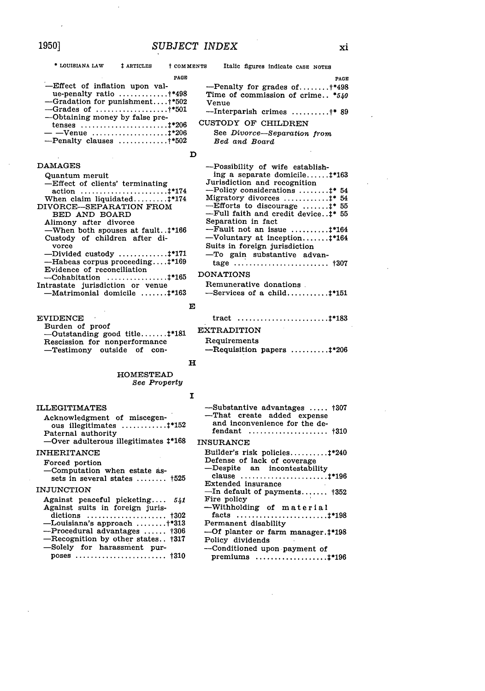**t COMMENTS** 

 $\mathbf{D}$ 

| PAGE                                                 |
|------------------------------------------------------|
| -Effect of inflation upon val-                       |
| ue-penalty ratio $\ldots \ldots \ldots \ldots$ +*498 |
| -Gradation for punishment†*502                       |
| $-$ Grades of **501                                  |
| -Obtaining money by false pre-                       |
|                                                      |
| — —Venue t*206                                       |
| $-$ Penalty clauses †*502                            |
|                                                      |

**‡ ARTICLES** 

#### **DAMAGES**

| Quantum meruit                        |
|---------------------------------------|
| -Effect of clients' terminating       |
|                                       |
| When claim liquidated $\ddagger$ *174 |
| DIVORCE--SEPARATION FROM              |
| BED AND BOARD                         |
| Alimony after divorce                 |
| -When both spouses at fault:*166      |
| Custody of children after di-         |
| vorce                                 |
| -Divided custody $\ddagger$ *171      |
| -Habeas corpus proceeding:*169        |
| Evidence of reconciliation            |
|                                       |
| Intrastate jurisdiction or venue      |
| -Matrimonial domicile  #*163          |
|                                       |

**EVIDENCE** Burden of proof -Outstanding good title....... :\* 181 Rescission for nonperformance -Testimony outside of con-

#### **HOMESTEAD See Property**

#### **ILLEGITIMATES** Acknowledgment of miscegenous illegitimates ............. #\*152 Paternal authority -Over adulterous illegitimates <sup>+</sup>168 **INHERITANCE** Forced portion -Computation when estate assets in several states ........ †525 **INJUNCTION** Against peaceful picketing.... 541 Against suits in foreign juris- $-L$ ouisiana's approach ........†\*313

| --Procedural advantages  †306     |  |
|-----------------------------------|--|
| -Recognition by other states †317 |  |
| -Solely for harassment pur-       |  |
|                                   |  |

|                                  | PAGE  |
|----------------------------------|-------|
| --Penalty for grades of $+498$   |       |
| Time of commission of crime *540 |       |
| Venue                            |       |
| -Tuternarich crimes              | +* 90 |

Italic figures indicate CASE NOTES

Interparish crimes ..........+\* 89 **CUSTODY OF CHILDREN** 

## See Divorce-Separation from Bed and Board

#### -Possibility of wife establishing a separate domicile....... #\*163 Jurisdiction and recognition -Policy considerations ........ #\* 54  $-\tilde{E}$ fforts to discourage ....... $\ddagger$ \* 55 -Full faith and credit device. . #\* 55 Separation in fact  $-Fault$  not an issue .......... $\ddagger$ \*164 Voluntary at inception....... #\*164 Suits in foreign jurisdiction -To gain substantive advan-**DONATIONS** Remunerative donations.  $-$ Services of a child........... $\ddagger$ \*151

## $\mathbf{E}$

## **EXTRADITION**

## Requirements

 $-$ Requisition papers ......... $+206$ 

## $\mathbf H$

I

| -Substantive advantages  †307<br>-That create added expense<br>and inconvenience for the de-<br>fendant $\text{+310}$ |
|-----------------------------------------------------------------------------------------------------------------------|
| <b>INSURANCE</b>                                                                                                      |
| Builder's risk policies #*240<br>Defense of lack of coverage                                                          |
| -Despite an incontestability<br>Extended insurance                                                                    |
| $-$ In default of payments $+352$                                                                                     |
| Fire policy                                                                                                           |
| -Withholding of material                                                                                              |
|                                                                                                                       |
| Permanent disability                                                                                                  |
| -Of planter or farm manager. <sup>†*198</sup>                                                                         |
| Policy dividends                                                                                                      |
| -Conditioned upon payment of                                                                                          |
| premiums $\ldots \ldots \ldots \ldots \ldots \ldots 1*196$                                                            |

## 1950]

\* LOUISIANA LAW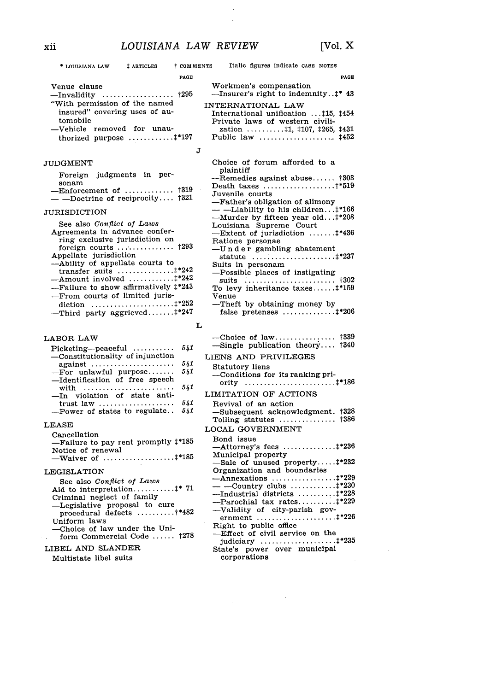$\cdot$  $\overline{a}$ 

| # ARTICLES<br><b>t COMMENTS</b><br>* LOUISIANA LAW                                                                                                                                                                                                                         | Italic figures indicate CASE NOTES                                                                                                                                                                                                                                                                                                       |
|----------------------------------------------------------------------------------------------------------------------------------------------------------------------------------------------------------------------------------------------------------------------------|------------------------------------------------------------------------------------------------------------------------------------------------------------------------------------------------------------------------------------------------------------------------------------------------------------------------------------------|
| PAGE                                                                                                                                                                                                                                                                       | PAGE                                                                                                                                                                                                                                                                                                                                     |
| Venue clause                                                                                                                                                                                                                                                               | Workmen's compensation<br>--Insurer's right to indemnity:* 43                                                                                                                                                                                                                                                                            |
| "With permission of the named<br>insured" covering uses of au-<br>tomobile<br>-Vehicle removed for unau-<br>thorized purpose  #*197<br>J                                                                                                                                   | INTERNATIONAL LAW<br>International unification  #15, #454<br>Private laws of western civili-<br>zation 11, 1107, 1265, 1431<br>Public law $\ldots \ldots \ldots \ldots \ldots \ldots$ $\sharp$ 452                                                                                                                                       |
|                                                                                                                                                                                                                                                                            |                                                                                                                                                                                                                                                                                                                                          |
| JUDGMENT<br>Foreign judgments in per-<br>sonam<br>-Enforcement of $\uparrow$ 319<br>- -Doctrine of reciprocity $\textcolor{red}{\uparrow}321$<br>JURISDICTION<br>See also Conflict of Laws<br>Agreements in advance confer-<br>ring exclusive jurisdiction on              | Choice of forum afforded to a<br>plaintiff<br>--Remedies against abuse †303<br>Death taxes †*519<br>Juvenile courts<br>-Father's obligation of alimony<br>- ----Liability to his children#*166<br>-Murder by fifteen year old:*208<br>Louisiana Supreme Court<br>$-$ Extent of jurisdiction $\pm$ *436<br>Ratione personae               |
| Appellate jurisdiction<br>--- Ability of appellate courts to<br>transfer suits $\ddagger$ *242<br>$-$ Amount involved ‡*242<br>-Failure to show affirmatively $\ddagger$ *243<br>—From courts of limited juris-<br>-Third party aggrieved #*247                            | -Under gambling abatement<br>Suits in personam<br>--Possible places of instigating<br>suits  †302<br>To levy inheritance taxes #*159<br>Venue<br>-Theft by obtaining money by<br>false pretenses  #*206                                                                                                                                  |
| L                                                                                                                                                                                                                                                                          |                                                                                                                                                                                                                                                                                                                                          |
| LABOR LAW<br>541<br>$Picketing - peaceful$                                                                                                                                                                                                                                 | $-$ Single publication theory $\dagger 340$                                                                                                                                                                                                                                                                                              |
| —Constitutionality of injunction<br>541<br>against<br>541<br>$-For$ unlawful purpose<br>—Identification of free speech<br>541<br>with<br>-In violation of state anti-<br>541<br>trust law $\ldots$<br>541<br>--Power of states to regulate                                 | LIENS AND PRIVILEGES<br>Statutory liens<br>-Conditions for its ranking pri-<br>LIMITATION OF ACTIONS<br>Revival of an action<br>-Subsequent acknowledgment. †328<br>Tolling statutes  †386                                                                                                                                               |
| $_{\rm LEASE}$                                                                                                                                                                                                                                                             | LOCAL GOVERNMENT                                                                                                                                                                                                                                                                                                                         |
| Cancellation<br>-Failure to pay rent promptly $\ddagger$ *185<br>Notice of renewal<br>-Waiver of $\dots\dots\dots\dots\dots\dots4*185$                                                                                                                                     | Bond issue<br>Municipal property<br>-Sale of unused property #*232                                                                                                                                                                                                                                                                       |
| <b>LEGISLATION</b><br>See also Conflict of Laws<br>Criminal neglect of family<br>-Legislative proposal to cure<br>procedural defects  +*482<br>Uniform laws<br>-Choice of law under the Uni-<br>form Commercial Code $1278$<br>LIBEL AND SLANDER<br>Multistate libel suits | Organization and boundaries<br>$-$ Annexations $\ddagger$ *229<br>$--$ Country clubs $\ddagger$ *230<br>---Industrial districts $\ddagger$ *228<br>$-$ Parochial tax rates $\ddagger$ *229<br>-Validity of city-parish gov-<br>Right to public office<br>-Effect of civil service on the<br>State's power over municipal<br>corporations |

 $\hat{\mathcal{A}}$ 

xii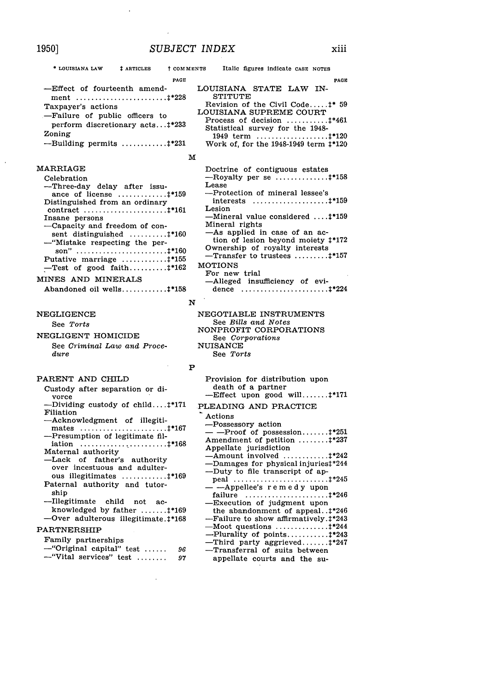<sup>†</sup> COMMENTS

PAGE

**DACE** -Effect of fourteenth amend-Taxpayer's actions -Failure of public officers to perform discretionary acts...#\*233 Zoning --Building permits ............. #\*231 **MARRIAGE** Celebration -Three-day delay after issuance of license ................ #\*159 Distinguished from an ordinary Insane persons -Capacity and freedom of con-

--"Mistake respecting the per-

Putative marriage .............. #\*155

-Test of good faith........... $\ddagger$ \*162

Abandoned oil wells............. #\*158

**‡ ARTICLES** 

LOUISIANA STATE LAW IN-**STITUTE** Revision of the Civil Code..... <sup>+</sup> 59 LOUISIANA SUPREME COURT Process of decision ............ #\*461 Statistical survey for the 1948-Work of, for the 1948-1949 term #\*120

Italic figures indicate CASE NOTES

## $\mathbf M$

Doctrine of contiguous estates -Royalty per se  $\dots\dots\dots\dots\dots$ Lease -Protection of mineral lessee's interests  $\dots\dots\dots\dots\dots\dots\dots$ Lesion Mineral value considered ....<sup>1\*159</sup> Mineral rights -As applied in case of an action of lesion beyond moiety  $\ddagger$ \*172 Ownership of royalty interests  $-$ Transfer to trustees ......... $+$ \*157 **MOTIONS** For new trial -Alleged insufficiency of evidence  $\ldots \ldots \ldots \ldots \ldots \ldots \ldots \ldots \ldots 1^{*224}$ 

## N

NEGOTIABLE INSTRUMENTS See Bills and Notes NONPROFIT CORPORATIONS See Corporations **NUISANCE** See Torts

## PARENT AND CHILD

NEGLIGENT HOMICIDE

MINES AND MINERALS

**NEGLIGENCE** 

dure

See Torts

Custody after separation or divorce -Dividing custody of child....#\*171

See Criminal Law and Proce-

- Filiation -Acknowledgment of illegiti-
- -Presumption of legitimate fil-
- Maternal authority -Lack of father's authority over incestuous and adulterous illegitimates .............. #\*169
- Paternal authority and tutorship
- -Illegitimate child not acknowledged by father ........ #\*169 -Over adulterous illegitimate.1\*168

#### **PARTNERSHIP**

Family partnerships -"Original capital" test ...... 96 -"Vital services" test ........ 97

#### Provision for distribution upon death of a partner Effect upon good will........‡\*171

#### PLEADING AND PRACTICE

Actions -Possessory action  $-$ Proof of possession....... $\pm$ \*251 Amendment of petition ........ #\*237 Appellate jurisdiction Amount involved  $\dots\dots\dots\dots$ Damages for physical injuries#\*244 -Duty to file transcript of ap--Appellee's remedy upon -Execution of judgment upon the abandonment of appeal..:\*246 Failure to show affirmatively.#\*243 Plurality of points............ #\*243 Third party aggrieved........#\*247 -Transferral of suits between

appellate courts and the su-

1950]

\* LOUISIANA LAW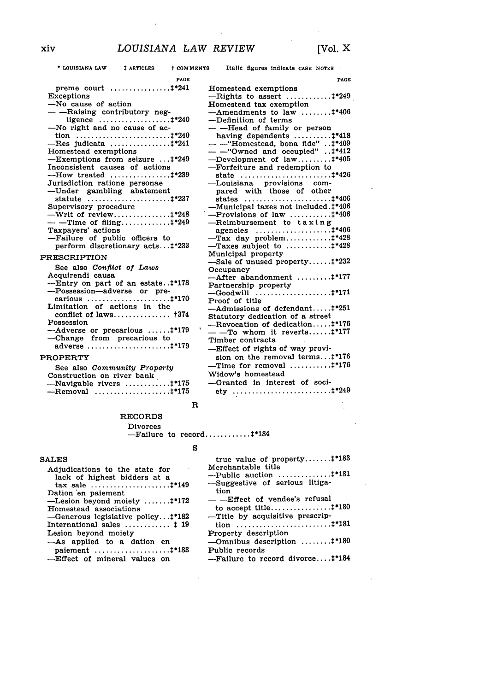**-** LOUISIANA LAW **:** ARTICLES t **COMMENTS** Italic figures indicate **CASE NOTES**

 $\bar{z}$  $\bar{z}$  $\ddot{\phantom{a}}$ 

 $\bar{\lambda}$ 

 $\overline{a}$ 

| PAGE                                                                                                                                                                                                                                                                                                                                                                                                                                                                                                                                                                                                                                                                                                                                                                      |                                                                                                                                                                                                                                                                                                                                                                                                                                                                                                                                                                                                                                                                                                                                                                                                                                                                                                                                                                                                                                                      |
|---------------------------------------------------------------------------------------------------------------------------------------------------------------------------------------------------------------------------------------------------------------------------------------------------------------------------------------------------------------------------------------------------------------------------------------------------------------------------------------------------------------------------------------------------------------------------------------------------------------------------------------------------------------------------------------------------------------------------------------------------------------------------|------------------------------------------------------------------------------------------------------------------------------------------------------------------------------------------------------------------------------------------------------------------------------------------------------------------------------------------------------------------------------------------------------------------------------------------------------------------------------------------------------------------------------------------------------------------------------------------------------------------------------------------------------------------------------------------------------------------------------------------------------------------------------------------------------------------------------------------------------------------------------------------------------------------------------------------------------------------------------------------------------------------------------------------------------|
| preme court  #*241<br>Exceptions<br>-No cause of action<br>- - Raising contributory neg-<br>-No right and no cause of ac-<br>$-$ Res judicata $+$ *241<br>Homestead exemptions<br>-Exemptions from seizure :*249<br>Inconsistent causes of actions<br>Jurisdiction ratione personae<br>-Under gambling abatement<br>Supervisory procedure<br>$-$ -Time of filing $\uparrow$ *249<br>Taxpayers' actions<br>-Failure of public officers to<br>perform discretionary acts#*233<br><b>PRESCRIPTION</b><br>See also Conflict of Laws<br>Acquirendi causa<br>--Entry on part of an estate:*178<br>--Possession-adverse or pre-<br>Limitation of actions in the<br>conflict of laws $\uparrow$ 374<br>Possession<br>--Adverse or precarious  1*179<br>-Change from precarious to | PAGE<br>Homestead exemptions<br>$-Rights$ to assert $\ddagger$ *249<br>Homestead tax exemption<br>$-$ Amendments to law $1*406$<br>-Definition of terms<br>-- ---Head of family or person<br>having dependents $\dots\dots\dots\dots$<br>-- -- "Homestead, bona fide" :* 409<br>-- - "Owned and occupied":*412<br>$-$ Development of law $+405$<br>-Forfeiture and redemption to<br>state  1*426<br>-Louisiana provisions com-<br>pared with those of other<br>-Municipal taxes not included. <sup>†*406</sup><br>$-$ Provisions of law $\ddagger$ *406<br>$-$ Reimbursement to taxing<br>$-$ Tax day problem $\ddagger$ *428<br>$-$ Taxes subject to $\dots\dots\dots\dots$<br>Municipal property<br>-Sale of unused property $\ddagger$ *232<br>Occupancy<br>-After abandonment  #*177<br>Partnership property<br>Proof of title<br>$-$ Admissions of defendant $\pm$ *251<br>Statutory dedication of a street<br>-Revocation of dedication:*176<br>$-$ -To whom it reverts $\ddagger$ *177<br>Timber contracts<br>-Effect of rights of way provi- |
|                                                                                                                                                                                                                                                                                                                                                                                                                                                                                                                                                                                                                                                                                                                                                                           | sion on the removal terms#*176                                                                                                                                                                                                                                                                                                                                                                                                                                                                                                                                                                                                                                                                                                                                                                                                                                                                                                                                                                                                                       |
| <b>PROPERTY</b><br>See also Community Property<br>Construction on river bank<br>-Navigable rivers  1*175<br>$-$ Removal $\ddagger$ *175                                                                                                                                                                                                                                                                                                                                                                                                                                                                                                                                                                                                                                   | $-$ Time for removal <sup>1*176</sup><br>Widow's homestead<br>-Granted in interest of soci-                                                                                                                                                                                                                                                                                                                                                                                                                                                                                                                                                                                                                                                                                                                                                                                                                                                                                                                                                          |

## R

#### RECORDS Divorces

-Failure to record ............ 2\*184

### **S**

 $\mathbf{r}$ 

| true value of property $\ddagger$ *183            |
|---------------------------------------------------|
| Merchantable title                                |
| --Public auction $\dots\dots\dots\dots\dots\dots$ |
| -Suggestive of serious litiga-                    |
| tion                                              |
| $-$ -Effect of vendee's refusal                   |
|                                                   |
| -Title by acquisitive prescrip-                   |
|                                                   |
| Property description                              |
| $-$ Omnibus description <sup>†*180</sup>          |
| Public records                                    |
| --Failure to record divorce <sup>1*184</sup>      |
|                                                   |

#### **SALES**

 $\bar{z}$ 

| Adjudications to the state for<br>lack of highest bidders at a |
|----------------------------------------------------------------|
|                                                                |
| Dation en paiement                                             |
| -Lesion beyond moiety $\ddagger$ *172                          |
| Homestead associations                                         |
| -Generous legislative policy:*182                              |
| International sales $\dots\dots\dots\dots$ $\downarrow$ 19     |
| Lesion beyond moiety                                           |
| -As applied to a dation en                                     |
| paiement $\dots\dots\dots\dots\dots\dots\dots4*183$            |
| -Effect of mineral values on                                   |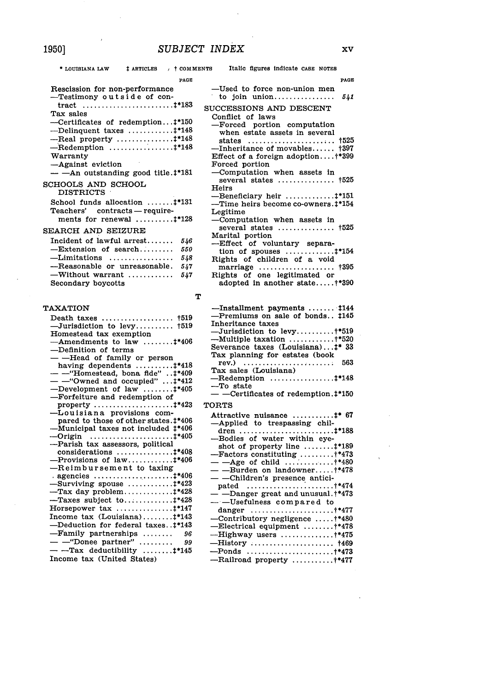| # ARTICLES<br>$+$ $\sim$ $+$ $\sim$ $\sim$ $\sim$ $\sim$ $\sim$ $\sim$ $\sim$<br>* LOUISIANA LAW                                                                                                                                                                                                                                                                                                                                                                                                                                                                                                                                                   | Italic figures indicate CASE NOTES                                                                                                                                                                                                                                                                                                                                                                                                                                                     |
|----------------------------------------------------------------------------------------------------------------------------------------------------------------------------------------------------------------------------------------------------------------------------------------------------------------------------------------------------------------------------------------------------------------------------------------------------------------------------------------------------------------------------------------------------------------------------------------------------------------------------------------------------|----------------------------------------------------------------------------------------------------------------------------------------------------------------------------------------------------------------------------------------------------------------------------------------------------------------------------------------------------------------------------------------------------------------------------------------------------------------------------------------|
| PAGE<br>Rescission for non-performance                                                                                                                                                                                                                                                                                                                                                                                                                                                                                                                                                                                                             | PAGE<br>-Used to force non-union men                                                                                                                                                                                                                                                                                                                                                                                                                                                   |
| --Testimony outside of con-<br>Tax sales<br>--Certificates of redemption#*150                                                                                                                                                                                                                                                                                                                                                                                                                                                                                                                                                                      | to join union<br>541<br>SUCCESSIONS AND DESCENT<br>Conflict of laws                                                                                                                                                                                                                                                                                                                                                                                                                    |
| --Delinquent taxes **148<br>$-$ Real property $\ddagger$ *148<br>$-$ Redemption $\ddagger$ *148<br>Warranty<br>-Against eviction<br>— — An outstanding good title. <sup>†*181</sup>                                                                                                                                                                                                                                                                                                                                                                                                                                                                | -Forced portion computation<br>when estate assets in several<br>--Inheritance of movables †397<br>Effect of a foreign adoption $+$ *399<br>Forced portion<br>-Computation when assets in                                                                                                                                                                                                                                                                                               |
| SCHOOLS AND SCHOOL<br><b>DISTRICTS</b>                                                                                                                                                                                                                                                                                                                                                                                                                                                                                                                                                                                                             | several states $\ldots \ldots \ldots \ldots$ $\ddagger$ 525<br>Heirs                                                                                                                                                                                                                                                                                                                                                                                                                   |
| School funds allocation  1*131<br>Teachers' contracts-require-<br>ments for renewal $\dots\dots\dots\dots$                                                                                                                                                                                                                                                                                                                                                                                                                                                                                                                                         | $-$ Beneficiary heir $\ddagger$ *151<br>—Time heirs become co-owners.‡*154<br>Legitime<br>-Computation when assets in                                                                                                                                                                                                                                                                                                                                                                  |
| SEARCH AND SEIZURE                                                                                                                                                                                                                                                                                                                                                                                                                                                                                                                                                                                                                                 | several states $\ldots \ldots \ldots \ldots \cdot 1525$<br>Marital portion                                                                                                                                                                                                                                                                                                                                                                                                             |
| $Incident$ of lawful $arrest.$<br>546<br>$-$ Extension of search<br>550<br>$-Limitations$<br>548                                                                                                                                                                                                                                                                                                                                                                                                                                                                                                                                                   | -Effect of voluntary separa-<br>tion of spouses $\ldots \ldots \ldots \ldots 1^{*154}$                                                                                                                                                                                                                                                                                                                                                                                                 |
| --Reasonable or unreasonable.<br>547<br>$-Without warrant \dots \dots$<br>547<br>Secondary boycotts                                                                                                                                                                                                                                                                                                                                                                                                                                                                                                                                                | Rights of children of a void<br>marriage  †395<br>Rights of one legitimated or<br>adopted in another state†*390                                                                                                                                                                                                                                                                                                                                                                        |
|                                                                                                                                                                                                                                                                                                                                                                                                                                                                                                                                                                                                                                                    | т                                                                                                                                                                                                                                                                                                                                                                                                                                                                                      |
| <b>TAXATION</b><br>$-$ Jurisdiction to levy †519<br>Homestead tax exemption<br>$-$ Amendments to law $\ddagger$ *406<br>-Definition of terms<br>- -Head of family or person<br>having dependents $\dots\dots\dots\dots$<br>$-$ -"Homestead, bona fide" $\ddagger$ *409<br>$-$ -"Owned and occupied" $\ddagger$ *412<br>$-$ Development of law $\ddagger$ *405                                                                                                                                                                                                                                                                                      | --Installment payments  #144<br>-Premiums on sale of bonds 1145<br>Inheritance taxes<br>$-Jurisdiction to levy \ldots$<br>--Multiple taxation †*520<br>Severance taxes (Louisiana)‡* 33<br>Tax planning for estates (book<br>$rev.)$<br>563<br>Tax sales (Louisiana)<br>$-$ Redemption #*148<br>--To state                                                                                                                                                                             |
| -Forfeiture and redemption of                                                                                                                                                                                                                                                                                                                                                                                                                                                                                                                                                                                                                      | $-$ --Certificates of redemption. $\ddagger$ *150<br>TORTS                                                                                                                                                                                                                                                                                                                                                                                                                             |
| -Louisiana provisions com-<br>pared to those of other states.#*406<br>--Municipal taxes not included $\ddagger$ *406<br>-Parish tax assessors, political<br>considerations $\ldots \ldots \ldots \ldots \ldots 1^{*408}$<br>-Provisions of law #*406<br>-Reimbursement to taxing<br>agencies $\ldots \ldots \ldots \ldots \ldots \ldots \ldots 1^{*406}$<br>$-Surviving$ spouse $\ddagger$ *423<br>$-$ Taxes subject to $+$ *428<br>Horsepower tax  #*147<br>Income tax $(Louisiana)$ $\ddagger$ *143<br>-Deduction for federal taxes:*143<br>$-Family$ partnerships<br>96<br>$-$ -"Donee partner"<br>99<br>$-$ -Tax deductibility $\ddagger$ *145 | -Applied to trespassing chil-<br>--Bodies of water within eye-<br>shot of property line $\ldots \ldots \ldots 1*189$<br>$-$ Factors constituting +*473<br>— — Burden on landowner†*478<br>- - - Children's presence antici-<br>-- Danger great and unusual. +*473<br>--- Usefulness compared to<br>danger $\ldots \ldots \ldots \ldots \ldots \ldots \ldots \ldots$ +*477<br>-Contributory negligence  †*480<br>-Electrical equipment +*478<br>-Highway users +*475<br>$-$ Ponds +*473 |
| Income tax (United States)                                                                                                                                                                                                                                                                                                                                                                                                                                                                                                                                                                                                                         | -Railroad property +*477                                                                                                                                                                                                                                                                                                                                                                                                                                                               |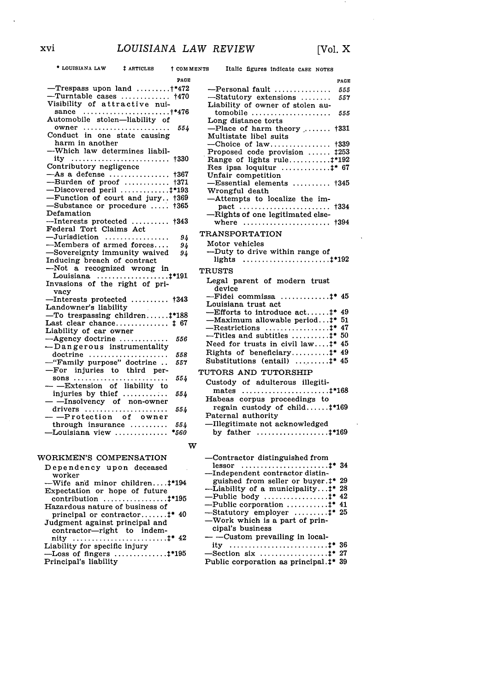$\sim$ 

| PAGE                                                        |
|-------------------------------------------------------------|
|                                                             |
| $-$ Trespass upon land $+$ *472                             |
| $-$ Turntable cases  †470                                   |
| Visibility of attractive nui-                               |
| sance †*476                                                 |
| Automobile stolen-liability of                              |
| owner<br>554                                                |
| Conduct in one state causing                                |
| harm in another                                             |
| --Which law determines liabil-                              |
|                                                             |
| Contributory negligence                                     |
| $-As$ a defense<br>+367                                     |
| --Burden of proof<br>+371                                   |
| -Discovered peril  #*193                                    |
| -Function of court and jury †369                            |
| -Substance or procedure<br>+365                             |
| Defamation                                                  |
| $-$ Interests protected  †343                               |
| Federal Tort Claims Act                                     |
| $-Jurisdiction$                                             |
| 94<br>-Members of armed forces                              |
| 94                                                          |
| -Sovereignty immunity waived<br>94                          |
| Inducing breach of contract                                 |
| -Not a recognized wrong in                                  |
|                                                             |
|                                                             |
| vacy                                                        |
|                                                             |
| --Interests protected  †343<br>Landowner's liability        |
| $-$ To trespassing children $\ddagger$ *188                 |
| Last clear chance $\updownarrow$ 67                         |
| Liability of car owner                                      |
| $-A$ gency doctrine<br>556                                  |
| --Dangerous instrumentality                                 |
| doctrine<br>558                                             |
| -"Family purpose" doctrine<br>557                           |
| -For injuries to third per-                                 |
| sons<br>554                                                 |
|                                                             |
| - - - Extension of liability to<br>injuries by thief<br>554 |
| - - Insolvency of non-owner                                 |
| drivers<br>554                                              |
| --Protection of owner                                       |
| through insurance<br>554                                    |
| -Louisiana view<br>*560                                     |
|                                                             |
| w                                                           |

# WORKMEN'S COMPENSATION

| Dependency upon deceased<br>worker      |
|-----------------------------------------|
| -Wife and minor children #194           |
| Expectation or hope of future           |
|                                         |
| Hazardous nature of business of         |
| principal or contractor $\ddagger$ * 40 |
| Judgment against principal and          |
| contractor-right to indem-              |
|                                         |
| Liability for specific injury           |
| $-$ Loss of fingers $1*195$             |
| Principal's liability                   |

| * LOUISIANA LAW                                 | # ARTICLES | † COMMENTS | Italic figures indicate CASE NOTES                                     |      |
|-------------------------------------------------|------------|------------|------------------------------------------------------------------------|------|
|                                                 |            | PAGE       |                                                                        | PAGE |
| Trespass upon land $\ldots \ldots \ldots$ +*472 |            |            | -Personal fault                                                        | 555  |
| Turntable cases  †470                           |            |            | -Statutory extensions                                                  | 557  |
| sibility of attractive nui-                     |            |            | Liability of owner of stolen au-                                       |      |
| sance †*476                                     |            |            | tomobile                                                               | 555  |
| utomobile stolen—liability of                   |            |            | Long distance torts                                                    |      |
| owner                                           |            | 554        | $-Place$ of harm theory  †331                                          |      |
| onduct in one state causing                     |            |            | Multistate libel suits                                                 |      |
| harm in another                                 |            |            | --Choice of law $+339$                                                 |      |
| Which law determines liabil-                    |            |            | Proposed code provision  #253                                          |      |
| ity  †330                                       |            |            | Range of lights rule $+192$                                            |      |
| ntributory negligence                           |            |            | Res ipsa loquitur  #* 67                                               |      |
| As a defense  †367                              |            |            | Unfair competition                                                     |      |
| Burden of proof  †371                           |            |            | $-$ Essential elements  †345                                           |      |
| $Discovered\ peril$ ‡*193                       |            |            | Wrongful death                                                         |      |
| Function of court and jury †369                 |            |            | -Attempts to localize the im-                                          |      |
| Substance or procedure  †365                    |            |            |                                                                        |      |
| efamation                                       |            |            | -Rights of one legitimated else-                                       |      |
| Interests protected  †343                       |            |            |                                                                        |      |
| deral Tort Claims Act                           |            |            | <b>TRANSPORTATION</b>                                                  |      |
| Jurisdiction                                    |            | 94         |                                                                        |      |
| Members of armed forces                         |            | 94         | Motor vehicles                                                         |      |
| Sovereignty immunity waived                     |            | 94         | ---Duty to drive within range of                                       |      |
| ducing breach of contract                       |            |            | lights $\ldots \ldots \ldots \ldots \ldots \ldots \ldots \ldots 1*192$ |      |
| Not a recognized wrong in                       |            |            | <b>TRUSTS</b>                                                          |      |
| Louisiana ‡*191                                 |            |            | Legal parent of modern trust                                           |      |
| vasions of the right of pri-<br>vacy            |            |            | device                                                                 |      |
| Interests protected  †343                       |            |            | $-Fidel$ commissa $\ddagger$ * 45                                      |      |
| ndowner's liability.                            |            |            | Louisiana trust act                                                    |      |
| To trespassing children‡*188                    |            |            | --Efforts to introduce $act$ : * 49                                    |      |
| $st$ clear chance $\ddagger$ 67                 |            |            | -Maximum allowable period:* 51                                         |      |
| ability of car owner                            |            |            |                                                                        |      |
| Agency doctrine                                 |            | 556        | ---Titles and subtitles $\ddagger$ * 50                                |      |
| Dangerous instrumentality                       |            |            | Need for trusts in civil law $\ddagger$ * 45                           |      |
| loctrine                                        |            | 558        | Rights of beneficiary <sup>+</sup> 49                                  |      |
| 'Family purpose" doctrine                       |            | 557        | Substitutions (entail) $\dots\dots\dots\dots$                          |      |
| For injuries to third per-                      |            |            |                                                                        |      |
| sons                                            |            | 554        | TUTORS AND TUTORSHIP                                                   |      |
| -Extension of liability to                      |            |            | Custody of adulterous illegiti-                                        |      |
| njuries by thief $\ldots$                       |            | 554        |                                                                        |      |
| -Insolvency of non-owner                        |            |            | Habeas corpus proceedings to                                           |      |
| lrivers                                         |            | 554        | regain custody of child‡*169                                           |      |
| -Protection of owner                            |            |            | Paternal authority                                                     |      |
| hrough insurance                                |            | 554        | —Illegitimate not acknowledged                                         |      |
| $\text{Jouisiana view} \dots \dots \dots \dots$ |            | *560       | by father $\ldots \ldots \ldots \ldots \ldots \ldots 1^{*169}$         |      |
|                                                 |            |            |                                                                        |      |
|                                                 |            | w          |                                                                        |      |
| RKMEN'S COMPENSATION                            |            |            | -Contractor distinguished from                                         |      |
| pendency upon deceased                          |            |            |                                                                        |      |
| vorker                                          |            |            | --Independent contractor distin-                                       |      |
| Wife and minor children‡*194                    |            |            | guished from seller or buyer.‡* 29                                     |      |
| pectation or hope of future                     |            |            | -Liability of a municipality:* 28                                      |      |
| ontribution ‡*195                               |            |            | --Public body $\ddagger$ * 42                                          |      |
| zardous nature of business of                   |            |            | $-Public corporation \dots \dots + * 41$                               |      |
|                                                 |            |            | $\mathcal{L}$ Statutory employer $\qquad$ $\ddagger$ * 25              |      |

-Statutory employer .........1 25 -Work which is a part of principal's business **-** -Custom prevailing in local-

| $-$ Section six ‡* 27                  |  |  |
|----------------------------------------|--|--|
| Dublis composition as multiplead ## 90 |  |  |

|  | Public corporation as principal. <sup>†*</sup> 39 |  |
|--|---------------------------------------------------|--|
|  |                                                   |  |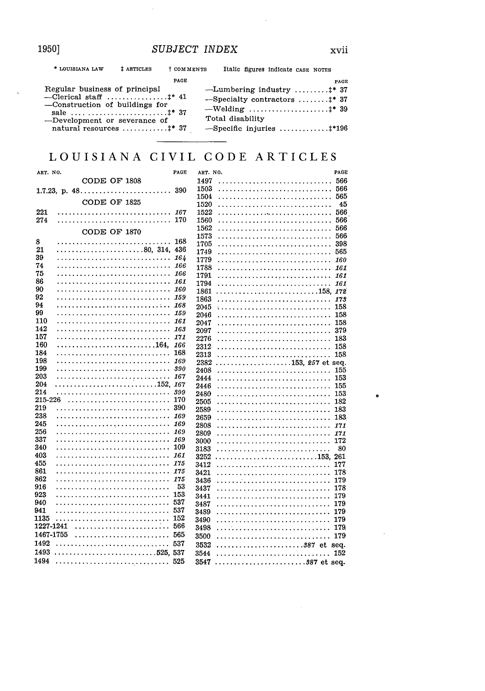1950]

 $\sim$ 

| * LOUISIANA LAW                                                                                                                                       | # ARTICLES | † COMMENTS |                  |  | Italic figures indicate CASE NOTES                                                                                                   |             |
|-------------------------------------------------------------------------------------------------------------------------------------------------------|------------|------------|------------------|--|--------------------------------------------------------------------------------------------------------------------------------------|-------------|
|                                                                                                                                                       |            | PAGE       |                  |  |                                                                                                                                      | <b>PAGE</b> |
| Regular business of principal<br>-Clerical staff $*$ 41<br>-Construction of buildings for<br>-Development or severance of<br>natural resources $*$ 37 |            |            | Total disability |  | -Lumbering industry  ** 37<br>$-$ Specialty contractors $\ddagger$ * 37<br>$-\text{Welding}$ \$8 39<br>$-$ Specific injuries  ** 196 |             |

# LOUISIANA CIVIL CODE ARTICLES

| ART. NO.  |                 | PAGE       | ART. NO.     |                  | PAGE       |
|-----------|-----------------|------------|--------------|------------------|------------|
|           | CODE OF 1808    |            | 1497         |                  | 566        |
|           | 1.7.23, p. $48$ | 390        | 1503         |                  | 566        |
|           |                 |            | 1504         |                  | 565        |
|           | CODE OF 1825    |            | 1520         |                  | 45         |
| 221       |                 | 167        | 1522         |                  | 566        |
| 274       |                 | 170        | 1560         |                  | 566        |
|           | CODE OF 1870    |            | 1562         |                  | 566        |
|           |                 |            | 1573         |                  | 566        |
| 8         |                 | 168        | 1705         |                  | 398        |
| 21<br>39  |                 |            | 1749         |                  | 565        |
|           |                 | 164        | 1779         |                  | 160        |
| 74<br>75  |                 | 166<br>166 | 1788         |                  | 161        |
| 86        |                 |            | 1791         |                  |            |
| 90        |                 | 161        | 1794         |                  | 161        |
| 92        |                 |            | 1861         |                  |            |
| 94        |                 | 168        | 1863         |                  | 173        |
| 99        |                 |            | 2045         |                  | 158        |
| 110       |                 |            | 2046         |                  | 158        |
| 142       |                 |            | 2047         |                  | 158        |
| 157       |                 | 171        | 2097         |                  | 379        |
| 160       |                 |            | 2276<br>2312 |                  | 183        |
| 184       |                 | 168        | 2313         |                  | 158<br>158 |
| 198       |                 | 169        | 2382         | 153. 257 et sea. |            |
| 199       |                 | 390        | 2408         |                  | 155        |
| 203       |                 | 167        | 2444         |                  | 153        |
| 204       |                 |            | 2446         |                  | 155        |
| 214       |                 | 399        | 2480         |                  | 153        |
| 215-226   |                 | 170        | 2505         |                  | 182        |
| 219       |                 | 390        | 2589         |                  | 183        |
| 238       |                 | 169        | 2659         |                  | 183        |
| 245       |                 | 169        | 2808         |                  | 171        |
| 256       |                 | 169        | 2809         |                  | 171        |
| 337       |                 | 169        | 3000         |                  | 172        |
| 340       |                 | 109        | 3183         |                  | 80         |
| 403       |                 | 161        | 3252         |                  |            |
| 455       |                 | 175        | 3412         |                  | 177        |
| 861       |                 | 175        | 3421         |                  | 178        |
| 862       |                 | 175        | 3436         |                  | 179        |
| 916       |                 | 53         | 3437         |                  | 178        |
| 923       |                 | 153        | 3441         |                  | 179        |
| 940       |                 | 537        | 3487         |                  | 179        |
| 941       |                 | 537        | 3489         |                  | 179        |
| 1135      |                 | 152        | 3490         |                  | 179        |
| 1227-1241 |                 | 566        | 3498         |                  | 179        |
| 1467-1755 |                 | 565        | 3500         |                  | 179        |
| 1492      |                 | 537        | 3532         | et               | seq.       |
| 1493      |                 |            | 3544         |                  | 152        |
| 1494      |                 | 525        | 3547         | 387 et sea.      |            |
|           |                 |            |              |                  |            |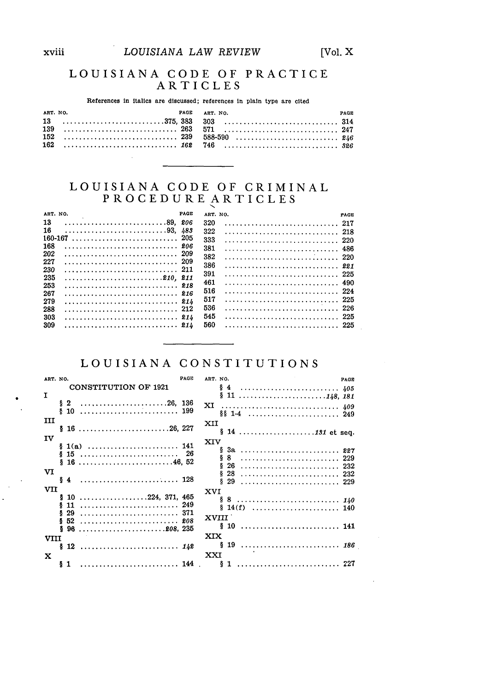# LOUISIANA CODE OF PRACTICE ARTICLES

References in italics are discussed; references in plain type are cited

| ART. NO. | PAGE ART. NO. | <b>PAGE</b> |
|----------|---------------|-------------|
|          |               |             |
|          |               |             |
|          |               |             |
|          |               |             |
|          |               |             |

# LOUISIANA CODE OF CRIMINAL PROCEDURE ARTICLES

| ART. NO. |     | PAGE<br>ART. NO. | PAGE |
|----------|-----|------------------|------|
| 13       |     | 320<br>206       |      |
| 16       |     | 483<br>322       | -218 |
| 160-167  |     | 205<br>333       | -220 |
| 168      |     | 206<br>381       | -486 |
| 202      |     | 209<br>382       |      |
| 227      |     | -209<br>386      | -221 |
| 230      |     | -211<br>391      | -225 |
| 235      |     | 461              | 490  |
| 253      |     |                  |      |
| 267      |     | 516              | -224 |
| 279      |     | 517              |      |
| 288      |     | 536              | -226 |
| 303      | 214 | 545              | -225 |
| 309      |     | 560              | -225 |

# LOUISIANA CONSTITUTIONS

| ART. NO.                |                             | PAGE | ART. NO.        | PAGE |
|-------------------------|-----------------------------|------|-----------------|------|
|                         | <b>CONSTITUTION OF 1921</b> |      |                 |      |
| $\mathbf I$             |                             |      |                 |      |
|                         | $$2$ 26, 136                |      |                 |      |
|                         |                             |      |                 |      |
| ш                       |                             |      | XII             |      |
|                         | $$16$ 26, 227               |      |                 |      |
| $\mathbf{I} \mathbf{V}$ |                             |      | XIV             |      |
|                         |                             |      |                 |      |
|                         |                             |      |                 |      |
|                         |                             |      |                 |      |
| vı                      |                             |      |                 |      |
|                         |                             |      |                 |      |
| VII                     |                             |      | <b>XVI</b>      |      |
|                         | $$10$ 224, 371, 465         |      |                 |      |
|                         |                             |      |                 |      |
|                         |                             |      | XVIII           |      |
|                         |                             |      | § 10        141 |      |
|                         |                             |      | XIX             |      |
| VIII                    |                             |      | 19  186         |      |
|                         |                             |      |                 |      |
| $\mathbf x$             |                             |      | XXI             |      |
|                         |                             |      |                 |      |
|                         |                             |      |                 |      |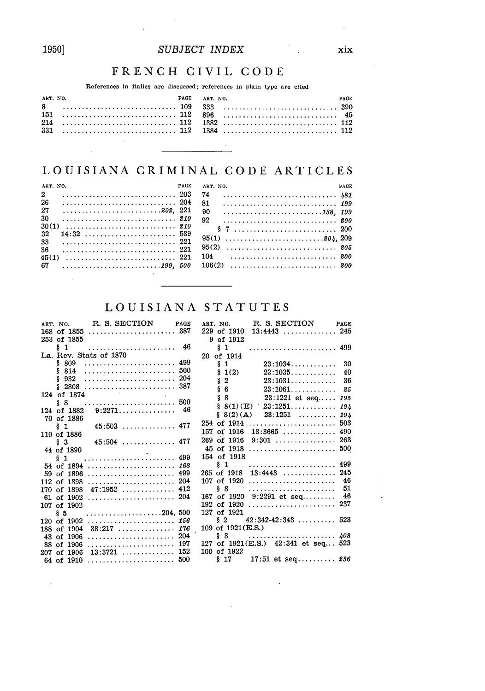# 1950]

 $\bar{z}$ 

# FRENCH CIVIL CODE

## References in italics are discussed; references in plain type are cited

| ART. NO. | PAGE | PAGE<br>ART. NO.                    |  |
|----------|------|-------------------------------------|--|
|          |      | $8 \qquad \ldots \qquad \qquad 390$ |  |
|          |      |                                     |  |
|          |      |                                     |  |
|          |      |                                     |  |
|          |      |                                     |  |
|          |      |                                     |  |

# LOUISIANA CRIMINAL CODE ARTICLES

| ART. NO.     | PACE | ART. NO. | PAGE |
|--------------|------|----------|------|
| $\mathbf{2}$ | -74  |          |      |
| 26           | 81   |          |      |
|              | 90   |          |      |
| 30           | 92   |          |      |
|              |      |          |      |
| 32           |      |          |      |
| 33<br>36     |      |          |      |
|              |      |          |      |
|              |      |          |      |

# LOUISIANA STATUTES

| ART. NO. R. S. SECTION PAGE |  |                     | ART. NO. R. S. SECTION PAGE                           |  |
|-----------------------------|--|---------------------|-------------------------------------------------------|--|
|                             |  |                     | $229$ of 1910 $13:4443$ 245                           |  |
| 253 of 1855                 |  | 9 of 1912           |                                                       |  |
|                             |  | $\S$ 1              |                                                       |  |
| La. Rev. Stats of 1870      |  | 20 of 1914          |                                                       |  |
| \$809                       |  | $\S$ 1              |                                                       |  |
| \$814                       |  | \$1(2)              |                                                       |  |
|                             |  | $\frac{1}{2}$ 2     | 23:1031 36                                            |  |
|                             |  | $\S$ 6              | 23:1061 25                                            |  |
| 124 of 1874                 |  |                     |                                                       |  |
|                             |  |                     | $\S~8$ 23:1221 et seq 195<br>$\S~8(1)(E)$ 23:1251 194 |  |
|                             |  |                     | $\S$ 8(2)(A) 23:1251  194                             |  |
| 70 of 1886                  |  |                     |                                                       |  |
| $§ 1$ 45:503  477           |  |                     |                                                       |  |
| 110 of 1886                 |  |                     | 157 of 1916 $13:3665$ 490                             |  |
|                             |  |                     |                                                       |  |
| 44 of 1890                  |  |                     | 45 of 1918  500                                       |  |
|                             |  | 154 of 1918         |                                                       |  |
| 54 of 1894  168             |  |                     |                                                       |  |
| 59 of 1896  499             |  |                     | 265 of 1918 13:4443  245                              |  |
|                             |  | 107 of 1920         |                                                       |  |
| 170 of $1898$ 47:1952  412  |  | § 8                 |                                                       |  |
|                             |  |                     | 167 of 1920 9:2291 et seq 46                          |  |
| 107 of 1902                 |  |                     |                                                       |  |
| § 5                         |  | 127 of 1921         |                                                       |  |
| 120 of 1902  156            |  |                     | $\S$ 2 42:342-42:343  523                             |  |
| 188 of 1904 $38:217$ 176    |  | 109 of $1921(E.S.)$ |                                                       |  |
|                             |  |                     |                                                       |  |
| 88 of 1906  197             |  |                     | 127 of 1921(E.S.) 42:341 et seq 523                   |  |
| 207 of 1906 13:3721  152    |  | 100 of 1922         |                                                       |  |
|                             |  |                     | $\S$ 17 17:51 et seq 236                              |  |